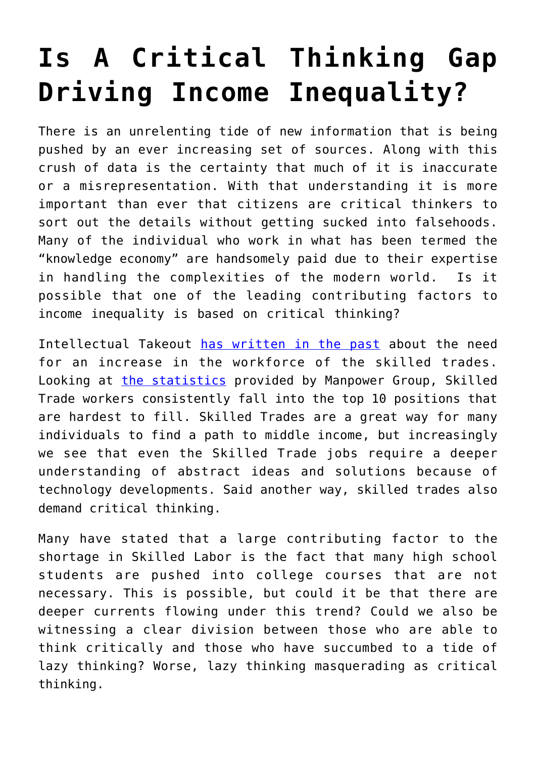## **[Is A Critical Thinking Gap](https://intellectualtakeout.org/2016/06/is-a-critical-thinking-gap-driving-income-inequality/) [Driving Income Inequality?](https://intellectualtakeout.org/2016/06/is-a-critical-thinking-gap-driving-income-inequality/)**

There is an unrelenting tide of new information that is being pushed by an ever increasing set of sources. Along with this crush of data is the certainty that much of it is inaccurate or a misrepresentation. With that understanding it is more important than ever that citizens are critical thinkers to sort out the details without getting sucked into falsehoods. Many of the individual who work in what has been termed the "knowledge economy" are handsomely paid due to their expertise in handling the complexities of the modern world. Is it possible that one of the leading contributing factors to income inequality is based on critical thinking?

Intellectual Takeout [has written in the past](https://www.intellectualtakeout.org/blog/america-needs-more-these-skilled-workers) about the need for an increase in the workforce of the skilled trades. Looking at [the statistics](http://www.manpowergroup.us/campaigns/talent-shortage-2015/assets/pdf/2015-Talent-Shortage-Whitepaper.pdf) provided by Manpower Group, Skilled Trade workers consistently fall into the top 10 positions that are hardest to fill. Skilled Trades are a great way for many individuals to find a path to middle income, but increasingly we see that even the Skilled Trade jobs require a deeper understanding of abstract ideas and solutions because of technology developments. Said another way, skilled trades also demand critical thinking.

Many have stated that a large contributing factor to the shortage in Skilled Labor is the fact that many high school students are pushed into college courses that are not necessary. This is possible, but could it be that there are deeper currents flowing under this trend? Could we also be witnessing a clear division between those who are able to think critically and those who have succumbed to a tide of lazy thinking? Worse, lazy thinking masquerading as critical thinking.